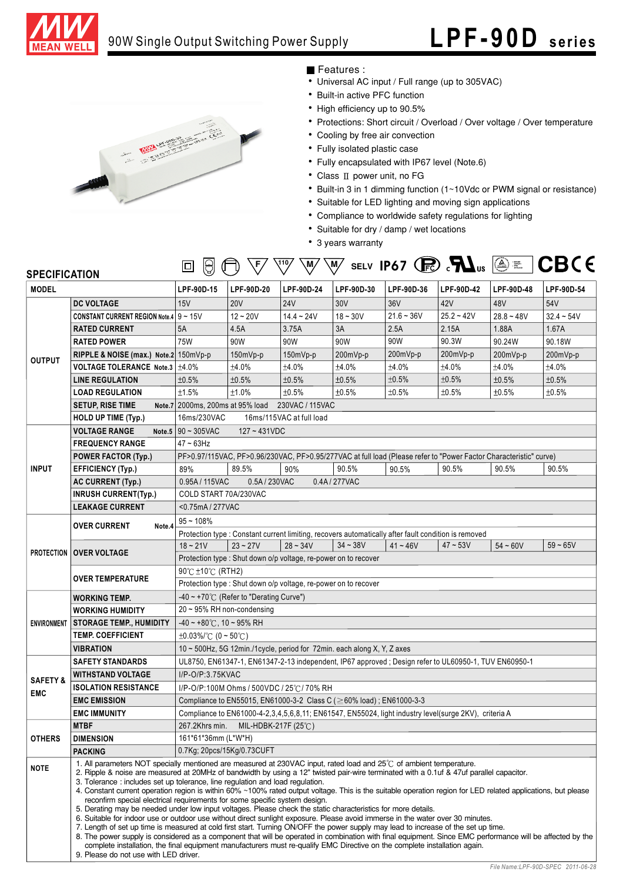

## 90W Single Output Switching Power Supply

# **LPF-90D seri es**



### Features :

- Universal AC input / Full range (up to 305VAC)
- Built-in active PFC function
- High efficiency up to 90.5%
- Protections: Short circuit / Overload / Over voltage / Over temperature
- Cooling by free air convection
- Fully isolated plastic case
- Fully encapsulated with IP67 level (Note.6)
- $\bullet$  Class II power unit, no FG
- Built-in 3 in 1 dimming function (1~10Vdc or PWM signal or resistance)
- Suitable for LED lighting and moving sign applications
- Compliance to worldwide safety regulations for lighting
- Suitable for dry / damp / wet locations
- 3 years warranty

| <b>SPECIFICATION</b> |                                             | $\bigotimes$<br>10                                                                                                                                                                                                                                                                                                                                                                                                                                                                                                                                                                                                                                                                                                                                                                                                                                                                                                                                                                                                                                                                                                                                     | ιF,                                                                                                               | ,110<br>M,                                                     | ∖M∕         | SELV IP67 $\bigcirc$ $\mathbf{M}_{\text{us}}$ $\circledcirc$ $\equiv$                                 |              |              | <b>CBCE</b>  |  |  |  |  |  |
|----------------------|---------------------------------------------|--------------------------------------------------------------------------------------------------------------------------------------------------------------------------------------------------------------------------------------------------------------------------------------------------------------------------------------------------------------------------------------------------------------------------------------------------------------------------------------------------------------------------------------------------------------------------------------------------------------------------------------------------------------------------------------------------------------------------------------------------------------------------------------------------------------------------------------------------------------------------------------------------------------------------------------------------------------------------------------------------------------------------------------------------------------------------------------------------------------------------------------------------------|-------------------------------------------------------------------------------------------------------------------|----------------------------------------------------------------|-------------|-------------------------------------------------------------------------------------------------------|--------------|--------------|--------------|--|--|--|--|--|
| <b>MODEL</b>         |                                             | LPF-90D-15                                                                                                                                                                                                                                                                                                                                                                                                                                                                                                                                                                                                                                                                                                                                                                                                                                                                                                                                                                                                                                                                                                                                             | LPF-90D-20                                                                                                        | LPF-90D-24                                                     | LPF-90D-30  | LPF-90D-36                                                                                            | LPF-90D-42   | LPF-90D-48   | LPF-90D-54   |  |  |  |  |  |
|                      | <b>DC VOLTAGE</b>                           | 15V                                                                                                                                                                                                                                                                                                                                                                                                                                                                                                                                                                                                                                                                                                                                                                                                                                                                                                                                                                                                                                                                                                                                                    | <b>20V</b>                                                                                                        | <b>24V</b>                                                     | 30V         | 36V                                                                                                   | 42V          | 48V          | 54V          |  |  |  |  |  |
|                      | CONSTANT CURRENT REGION Note 4 $9 \sim 15V$ |                                                                                                                                                                                                                                                                                                                                                                                                                                                                                                                                                                                                                                                                                                                                                                                                                                                                                                                                                                                                                                                                                                                                                        | $12 - 20V$                                                                                                        | $14.4 - 24V$                                                   | $18 - 30V$  | $21.6 - 36V$                                                                                          | $25.2 - 42V$ | $28.8 - 48V$ | $32.4 - 54V$ |  |  |  |  |  |
|                      | <b>RATED CURRENT</b>                        | 5A                                                                                                                                                                                                                                                                                                                                                                                                                                                                                                                                                                                                                                                                                                                                                                                                                                                                                                                                                                                                                                                                                                                                                     | 4.5A                                                                                                              | 3.75A                                                          | 3A          | 2.5A                                                                                                  | 2.15A        | 1.88A        | 1.67A        |  |  |  |  |  |
|                      | <b>RATED POWER</b>                          | 75W                                                                                                                                                                                                                                                                                                                                                                                                                                                                                                                                                                                                                                                                                                                                                                                                                                                                                                                                                                                                                                                                                                                                                    | 90W                                                                                                               | 90W                                                            | 90W         | 90W                                                                                                   | 90.3W        | 90.24W       | 90.18W       |  |  |  |  |  |
| <b>OUTPUT</b>        | RIPPLE & NOISE (max.) Note.2 150mVp-p       |                                                                                                                                                                                                                                                                                                                                                                                                                                                                                                                                                                                                                                                                                                                                                                                                                                                                                                                                                                                                                                                                                                                                                        | 150mVp-p                                                                                                          | 150mVp-p                                                       | 200mVp-p    | 200mVp-p                                                                                              | 200mVp-p     | 200mVp-p     | 200mVp-p     |  |  |  |  |  |
|                      | VOLTAGE TOLERANCE Note.3 ±4.0%              |                                                                                                                                                                                                                                                                                                                                                                                                                                                                                                                                                                                                                                                                                                                                                                                                                                                                                                                                                                                                                                                                                                                                                        | ±4.0%                                                                                                             | ±4.0%                                                          | ±4.0%       | ±4.0%                                                                                                 | ±4.0%        | ±4.0%        | ±4.0%        |  |  |  |  |  |
|                      | <b>LINE REGULATION</b>                      | ±0.5%                                                                                                                                                                                                                                                                                                                                                                                                                                                                                                                                                                                                                                                                                                                                                                                                                                                                                                                                                                                                                                                                                                                                                  | ±0.5%                                                                                                             | ±0.5%                                                          | ±0.5%       | ±0.5%                                                                                                 | ±0.5%        | ±0.5%        | ±0.5%        |  |  |  |  |  |
|                      | <b>LOAD REGULATION</b>                      | ±1.5%                                                                                                                                                                                                                                                                                                                                                                                                                                                                                                                                                                                                                                                                                                                                                                                                                                                                                                                                                                                                                                                                                                                                                  | ±1.0%                                                                                                             | ±0.5%                                                          | ±0.5%       | ±0.5%                                                                                                 | ±0.5%        | ±0.5%        | ±0.5%        |  |  |  |  |  |
|                      | <b>SETUP, RISE TIME</b>                     | Note.7 2000ms, 200ms at 95% load 230VAC / 115VAC                                                                                                                                                                                                                                                                                                                                                                                                                                                                                                                                                                                                                                                                                                                                                                                                                                                                                                                                                                                                                                                                                                       |                                                                                                                   |                                                                |             |                                                                                                       |              |              |              |  |  |  |  |  |
|                      | <b>HOLD UP TIME (Typ.)</b>                  | 16ms/230VAC<br>16ms/115VAC at full load                                                                                                                                                                                                                                                                                                                                                                                                                                                                                                                                                                                                                                                                                                                                                                                                                                                                                                                                                                                                                                                                                                                |                                                                                                                   |                                                                |             |                                                                                                       |              |              |              |  |  |  |  |  |
|                      | <b>VOLTAGE RANGE</b><br>Note.5              | $190 - 305$ VAC<br>$127 - 431VDC$                                                                                                                                                                                                                                                                                                                                                                                                                                                                                                                                                                                                                                                                                                                                                                                                                                                                                                                                                                                                                                                                                                                      |                                                                                                                   |                                                                |             |                                                                                                       |              |              |              |  |  |  |  |  |
|                      | <b>FREQUENCY RANGE</b>                      | $47 - 63$ Hz                                                                                                                                                                                                                                                                                                                                                                                                                                                                                                                                                                                                                                                                                                                                                                                                                                                                                                                                                                                                                                                                                                                                           |                                                                                                                   |                                                                |             |                                                                                                       |              |              |              |  |  |  |  |  |
|                      | <b>POWER FACTOR (Typ.)</b>                  |                                                                                                                                                                                                                                                                                                                                                                                                                                                                                                                                                                                                                                                                                                                                                                                                                                                                                                                                                                                                                                                                                                                                                        | PF>0.97/115VAC, PF>0.96/230VAC, PF>0.95/277VAC at full load (Please refer to "Power Factor Characteristic" curve) |                                                                |             |                                                                                                       |              |              |              |  |  |  |  |  |
| <b>INPUT</b>         | <b>EFFICIENCY (Typ.)</b>                    | 89%                                                                                                                                                                                                                                                                                                                                                                                                                                                                                                                                                                                                                                                                                                                                                                                                                                                                                                                                                                                                                                                                                                                                                    | 89.5%                                                                                                             | 90%                                                            | 90.5%       | 90.5%                                                                                                 | 90.5%        | 90.5%        | 90.5%        |  |  |  |  |  |
|                      | AC CURRENT (Typ.)                           | 0.95A / 115VAC                                                                                                                                                                                                                                                                                                                                                                                                                                                                                                                                                                                                                                                                                                                                                                                                                                                                                                                                                                                                                                                                                                                                         | 0.5A / 230VAC                                                                                                     |                                                                | 0.4A/277VAC |                                                                                                       |              |              |              |  |  |  |  |  |
|                      | <b>INRUSH CURRENT(Typ.)</b>                 | COLD START 70A/230VAC                                                                                                                                                                                                                                                                                                                                                                                                                                                                                                                                                                                                                                                                                                                                                                                                                                                                                                                                                                                                                                                                                                                                  |                                                                                                                   |                                                                |             |                                                                                                       |              |              |              |  |  |  |  |  |
|                      | <b>LEAKAGE CURRENT</b>                      | $<$ 0.75mA / 277VAC                                                                                                                                                                                                                                                                                                                                                                                                                                                                                                                                                                                                                                                                                                                                                                                                                                                                                                                                                                                                                                                                                                                                    |                                                                                                                   |                                                                |             |                                                                                                       |              |              |              |  |  |  |  |  |
|                      |                                             | $95 - 108%$                                                                                                                                                                                                                                                                                                                                                                                                                                                                                                                                                                                                                                                                                                                                                                                                                                                                                                                                                                                                                                                                                                                                            |                                                                                                                   |                                                                |             |                                                                                                       |              |              |              |  |  |  |  |  |
|                      | <b>OVER CURRENT</b><br>Note.4               | Protection type : Constant current limiting, recovers automatically after fault condition is removed                                                                                                                                                                                                                                                                                                                                                                                                                                                                                                                                                                                                                                                                                                                                                                                                                                                                                                                                                                                                                                                   |                                                                                                                   |                                                                |             |                                                                                                       |              |              |              |  |  |  |  |  |
| <b>PROTECTION</b>    |                                             | $18 - 21V$                                                                                                                                                                                                                                                                                                                                                                                                                                                                                                                                                                                                                                                                                                                                                                                                                                                                                                                                                                                                                                                                                                                                             | $23 - 27V$                                                                                                        | $28 - 34V$                                                     | $34 - 38V$  | $41 - 46V$                                                                                            | $47 - 53V$   | $54 - 60V$   | $59 - 65V$   |  |  |  |  |  |
|                      | <b>OVER VOLTAGE</b>                         |                                                                                                                                                                                                                                                                                                                                                                                                                                                                                                                                                                                                                                                                                                                                                                                                                                                                                                                                                                                                                                                                                                                                                        |                                                                                                                   | Protection type: Shut down o/p voltage, re-power on to recover |             |                                                                                                       |              |              |              |  |  |  |  |  |
|                      |                                             | 90°C ±10°C (RTH2)                                                                                                                                                                                                                                                                                                                                                                                                                                                                                                                                                                                                                                                                                                                                                                                                                                                                                                                                                                                                                                                                                                                                      |                                                                                                                   |                                                                |             |                                                                                                       |              |              |              |  |  |  |  |  |
|                      | <b>OVER TEMPERATURE</b>                     | Protection type : Shut down o/p voltage, re-power on to recover                                                                                                                                                                                                                                                                                                                                                                                                                                                                                                                                                                                                                                                                                                                                                                                                                                                                                                                                                                                                                                                                                        |                                                                                                                   |                                                                |             |                                                                                                       |              |              |              |  |  |  |  |  |
|                      | <b>WORKING TEMP.</b>                        | -40 ~ +70 $\degree$ C (Refer to "Derating Curve")                                                                                                                                                                                                                                                                                                                                                                                                                                                                                                                                                                                                                                                                                                                                                                                                                                                                                                                                                                                                                                                                                                      |                                                                                                                   |                                                                |             |                                                                                                       |              |              |              |  |  |  |  |  |
|                      | <b>WORKING HUMIDITY</b>                     | $20 \sim 95\%$ RH non-condensing                                                                                                                                                                                                                                                                                                                                                                                                                                                                                                                                                                                                                                                                                                                                                                                                                                                                                                                                                                                                                                                                                                                       |                                                                                                                   |                                                                |             |                                                                                                       |              |              |              |  |  |  |  |  |
| <b>ENVIRONMENT</b>   | <b>STORAGE TEMP., HUMIDITY</b>              | $-40 \sim +80^{\circ}$ C, 10 ~ 95% RH                                                                                                                                                                                                                                                                                                                                                                                                                                                                                                                                                                                                                                                                                                                                                                                                                                                                                                                                                                                                                                                                                                                  |                                                                                                                   |                                                                |             |                                                                                                       |              |              |              |  |  |  |  |  |
|                      | <b>TEMP. COEFFICIENT</b>                    | $\pm 0.03\%$ (0 ~ 50°C)                                                                                                                                                                                                                                                                                                                                                                                                                                                                                                                                                                                                                                                                                                                                                                                                                                                                                                                                                                                                                                                                                                                                |                                                                                                                   |                                                                |             |                                                                                                       |              |              |              |  |  |  |  |  |
|                      | <b>VIBRATION</b>                            | 10 ~ 500Hz, 5G 12min./1cycle, period for 72min. each along X, Y, Z axes                                                                                                                                                                                                                                                                                                                                                                                                                                                                                                                                                                                                                                                                                                                                                                                                                                                                                                                                                                                                                                                                                |                                                                                                                   |                                                                |             |                                                                                                       |              |              |              |  |  |  |  |  |
|                      | <b>SAFETY STANDARDS</b>                     | UL8750, EN61347-1, EN61347-2-13 independent, IP67 approved; Design refer to UL60950-1, TUV EN60950-1                                                                                                                                                                                                                                                                                                                                                                                                                                                                                                                                                                                                                                                                                                                                                                                                                                                                                                                                                                                                                                                   |                                                                                                                   |                                                                |             |                                                                                                       |              |              |              |  |  |  |  |  |
|                      | <b>WITHSTAND VOLTAGE</b>                    | I/P-O/P:3.75KVAC                                                                                                                                                                                                                                                                                                                                                                                                                                                                                                                                                                                                                                                                                                                                                                                                                                                                                                                                                                                                                                                                                                                                       |                                                                                                                   |                                                                |             |                                                                                                       |              |              |              |  |  |  |  |  |
| <b>SAFETY &amp;</b>  | <b>ISOLATION RESISTANCE</b>                 | I/P-O/P:100M Ohms / 500VDC / 25℃/ 70% RH                                                                                                                                                                                                                                                                                                                                                                                                                                                                                                                                                                                                                                                                                                                                                                                                                                                                                                                                                                                                                                                                                                               |                                                                                                                   |                                                                |             |                                                                                                       |              |              |              |  |  |  |  |  |
| <b>EMC</b>           | <b>EMC EMISSION</b>                         | Compliance to EN55015, EN61000-3-2 Class C (≧60% load); EN61000-3-3                                                                                                                                                                                                                                                                                                                                                                                                                                                                                                                                                                                                                                                                                                                                                                                                                                                                                                                                                                                                                                                                                    |                                                                                                                   |                                                                |             |                                                                                                       |              |              |              |  |  |  |  |  |
|                      | <b>EMC IMMUNITY</b>                         |                                                                                                                                                                                                                                                                                                                                                                                                                                                                                                                                                                                                                                                                                                                                                                                                                                                                                                                                                                                                                                                                                                                                                        |                                                                                                                   |                                                                |             | Compliance to EN61000-4-2,3,4,5,6,8,11; EN61547, EN55024, light industry level(surge 2KV), criteria A |              |              |              |  |  |  |  |  |
|                      | <b>MTBF</b>                                 | 267.2Khrs min.                                                                                                                                                                                                                                                                                                                                                                                                                                                                                                                                                                                                                                                                                                                                                                                                                                                                                                                                                                                                                                                                                                                                         | MIL-HDBK-217F (25℃)                                                                                               |                                                                |             |                                                                                                       |              |              |              |  |  |  |  |  |
| <b>OTHERS</b>        | <b>DIMENSION</b>                            | 161*61*36mm (L*W*H)                                                                                                                                                                                                                                                                                                                                                                                                                                                                                                                                                                                                                                                                                                                                                                                                                                                                                                                                                                                                                                                                                                                                    |                                                                                                                   |                                                                |             |                                                                                                       |              |              |              |  |  |  |  |  |
|                      | <b>PACKING</b>                              | 0.7Kg; 20pcs/15Kg/0.73CUFT                                                                                                                                                                                                                                                                                                                                                                                                                                                                                                                                                                                                                                                                                                                                                                                                                                                                                                                                                                                                                                                                                                                             |                                                                                                                   |                                                                |             |                                                                                                       |              |              |              |  |  |  |  |  |
| <b>NOTE</b>          |                                             | 1. All parameters NOT specially mentioned are measured at 230VAC input, rated load and 25 °C of ambient temperature.<br>2. Ripple & noise are measured at 20MHz of bandwidth by using a 12" twisted pair-wire terminated with a 0.1uf & 47uf parallel capacitor.<br>3. Tolerance: includes set up tolerance, line regulation and load regulation.<br>4. Constant current operation region is within 60% ~100% rated output voltage. This is the suitable operation region for LED related applications, but please<br>reconfirm special electrical requirements for some specific system design.<br>5. Derating may be needed under low input voltages. Please check the static characteristics for more details.<br>6. Suitable for indoor use or outdoor use without direct sunlight exposure. Please avoid immerse in the water over 30 minutes.<br>7. Length of set up time is measured at cold first start. Turning ON/OFF the power supply may lead to increase of the set up time.<br>8. The power supply is considered as a component that will be operated in combination with final equipment. Since EMC performance will be affected by the |                                                                                                                   |                                                                |             |                                                                                                       |              |              |              |  |  |  |  |  |
|                      | 9. Please do not use with LED driver.       | complete installation, the final equipment manufacturers must re-qualify EMC Directive on the complete installation again.                                                                                                                                                                                                                                                                                                                                                                                                                                                                                                                                                                                                                                                                                                                                                                                                                                                                                                                                                                                                                             |                                                                                                                   |                                                                |             |                                                                                                       |              |              |              |  |  |  |  |  |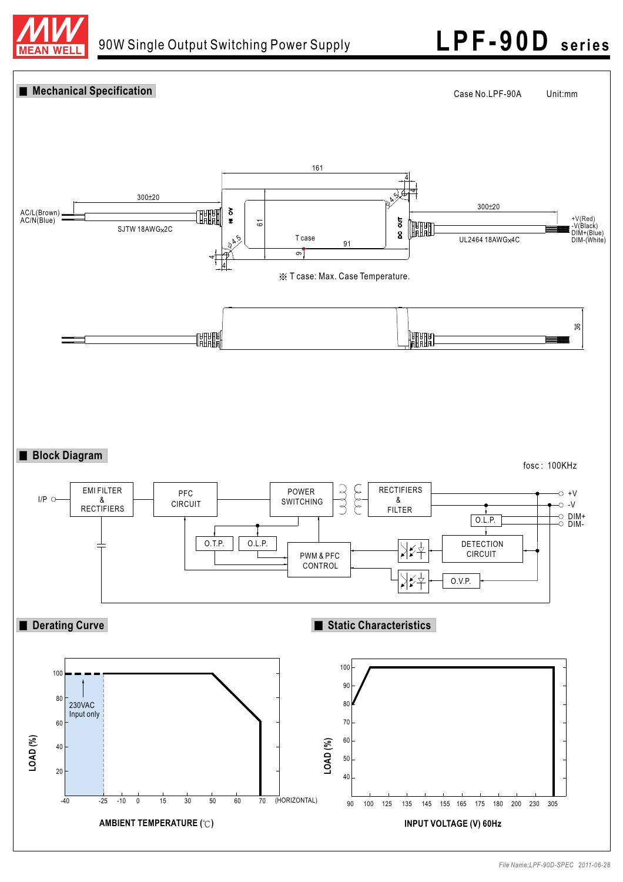

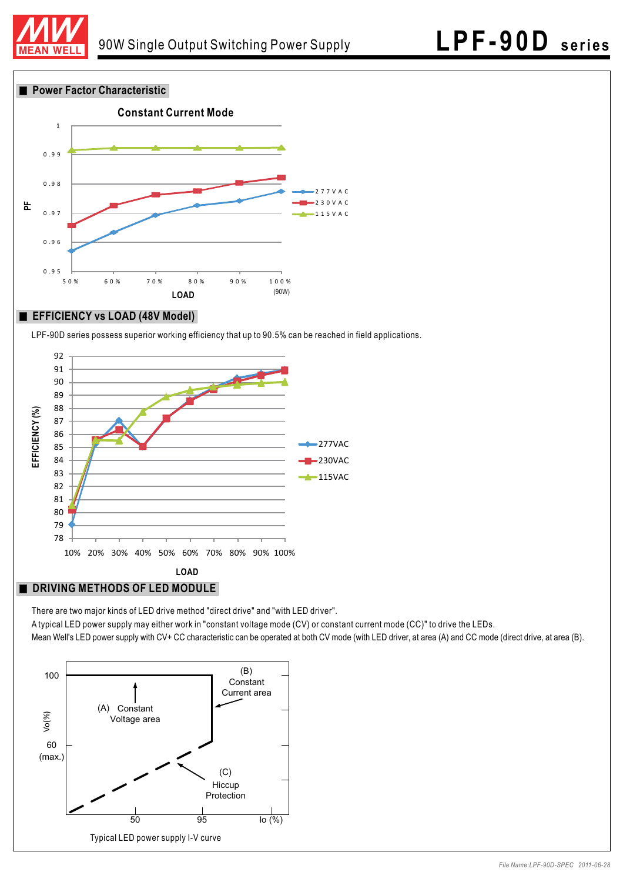

**Power Factor Characteristic** 



### **EFFICIENCY vs LOAD (48V Model)**

LPF-90D series possess superior working efficiency that up to 90.5% can be reached in field applications.



### **DRIVING METHODS OF LED MODULE**

There are two major kinds of LED drive method "direct drive" and "with LED driver".

A typical LED power supply may either work in "constant voltage mode (CV) or constant current mode (CC)" to drive the LEDs. Mean Well's LED power supply with CV+ CC characteristic can be operated at both CV mode (with LED driver, at area (A) and CC mode (direct drive, at area (B).